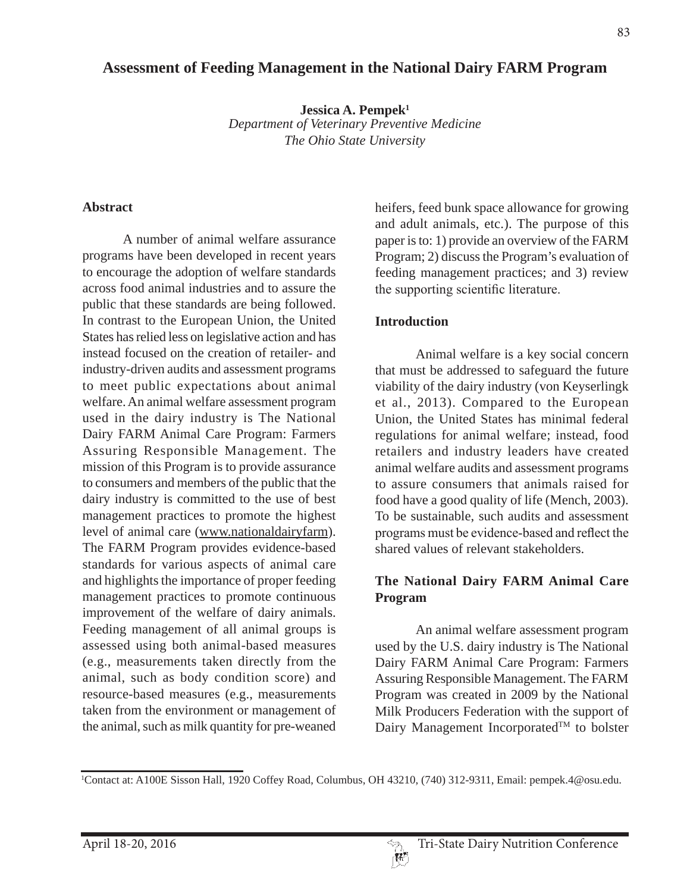# **Assessment of Feeding Management in the National Dairy FARM Program**

**Jessica A. Pempek1** *Department of Veterinary Preventive Medicine The Ohio State University*

#### **Abstract**

A number of animal welfare assurance programs have been developed in recent years to encourage the adoption of welfare standards across food animal industries and to assure the public that these standards are being followed. In contrast to the European Union, the United States has relied less on legislative action and has instead focused on the creation of retailer- and industry-driven audits and assessment programs to meet public expectations about animal welfare. An animal welfare assessment program used in the dairy industry is The National Dairy FARM Animal Care Program: Farmers Assuring Responsible Management. The mission of this Program is to provide assurance to consumers and members of the public that the dairy industry is committed to the use of best management practices to promote the highest level of animal care (www.nationaldairyfarm). The FARM Program provides evidence-based standards for various aspects of animal care and highlights the importance of proper feeding management practices to promote continuous improvement of the welfare of dairy animals. Feeding management of all animal groups is assessed using both animal-based measures (e.g., measurements taken directly from the animal, such as body condition score) and resource-based measures (e.g., measurements taken from the environment or management of the animal, such as milk quantity for pre-weaned heifers, feed bunk space allowance for growing and adult animals, etc.). The purpose of this paper is to: 1) provide an overview of the FARM Program; 2) discuss the Program's evaluation of feeding management practices; and 3) review the supporting scientific literature.

#### **Introduction**

Animal welfare is a key social concern that must be addressed to safeguard the future viability of the dairy industry (von Keyserlingk et al., 2013). Compared to the European Union, the United States has minimal federal regulations for animal welfare; instead, food retailers and industry leaders have created animal welfare audits and assessment programs to assure consumers that animals raised for food have a good quality of life (Mench, 2003). To be sustainable, such audits and assessment programs must be evidence-based and reflect the shared values of relevant stakeholders.

### **The National Dairy FARM Animal Care Program**

An animal welfare assessment program used by the U.S. dairy industry is The National Dairy FARM Animal Care Program: Farmers Assuring Responsible Management. The FARM Program was created in 2009 by the National Milk Producers Federation with the support of Dairy Management Incorporated<sup>TM</sup> to bolster

<sup>1</sup> Contact at: A100E Sisson Hall, 1920 Coffey Road, Columbus, OH 43210, (740) 312-9311, Email: pempek.4@osu.edu.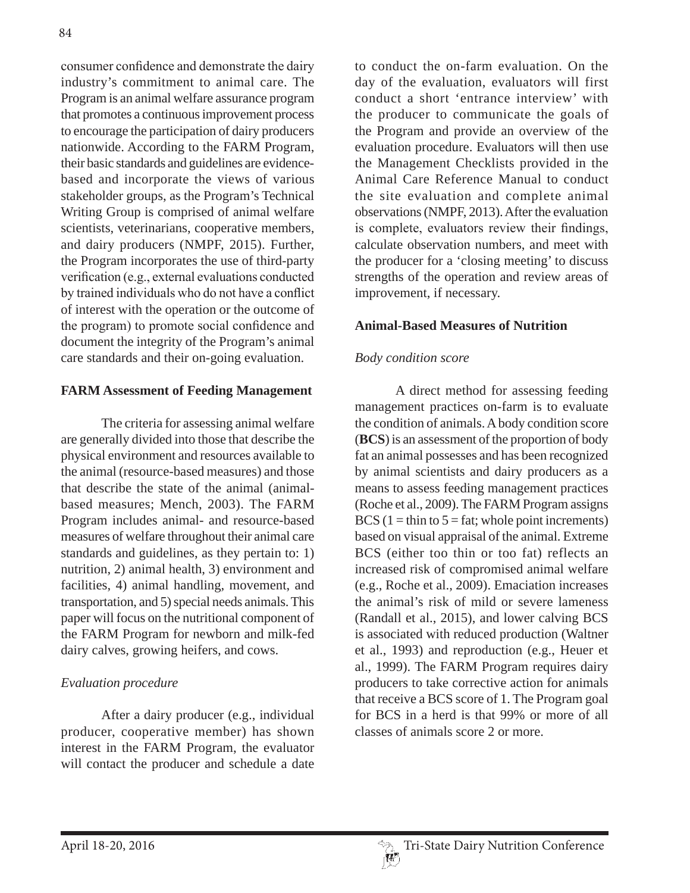consumer confidence and demonstrate the dairy industry's commitment to animal care. The Program is an animal welfare assurance program that promotes a continuous improvement process to encourage the participation of dairy producers nationwide. According to the FARM Program, their basic standards and guidelines are evidencebased and incorporate the views of various stakeholder groups, as the Program's Technical Writing Group is comprised of animal welfare scientists, veterinarians, cooperative members, and dairy producers (NMPF, 2015). Further, the Program incorporates the use of third-party verification (e.g., external evaluations conducted by trained individuals who do not have a conflict of interest with the operation or the outcome of the program) to promote social confidence and document the integrity of the Program's animal care standards and their on-going evaluation.

## **FARM Assessment of Feeding Management**

The criteria for assessing animal welfare are generally divided into those that describe the physical environment and resources available to the animal (resource-based measures) and those that describe the state of the animal (animalbased measures; Mench, 2003). The FARM Program includes animal- and resource-based measures of welfare throughout their animal care standards and guidelines, as they pertain to: 1) nutrition, 2) animal health, 3) environment and facilities, 4) animal handling, movement, and transportation, and 5) special needs animals. This paper will focus on the nutritional component of the FARM Program for newborn and milk-fed dairy calves, growing heifers, and cows.

# *Evaluation procedure*

After a dairy producer (e.g., individual producer, cooperative member) has shown interest in the FARM Program, the evaluator will contact the producer and schedule a date to conduct the on-farm evaluation. On the day of the evaluation, evaluators will first conduct a short 'entrance interview' with the producer to communicate the goals of the Program and provide an overview of the evaluation procedure. Evaluators will then use the Management Checklists provided in the Animal Care Reference Manual to conduct the site evaluation and complete animal observations (NMPF, 2013). After the evaluation is complete, evaluators review their findings, calculate observation numbers, and meet with the producer for a 'closing meeting' to discuss strengths of the operation and review areas of improvement, if necessary.

## **Animal-Based Measures of Nutrition**

## *Body condition score*

A direct method for assessing feeding management practices on-farm is to evaluate the condition of animals. A body condition score (**BCS**) is an assessment of the proportion of body fat an animal possesses and has been recognized by animal scientists and dairy producers as a means to assess feeding management practices (Roche et al., 2009). The FARM Program assigns BCS ( $1 = \text{thin to } 5 = \text{fat}$ ; whole point increments) based on visual appraisal of the animal. Extreme BCS (either too thin or too fat) reflects an increased risk of compromised animal welfare (e.g., Roche et al., 2009). Emaciation increases the animal's risk of mild or severe lameness (Randall et al., 2015), and lower calving BCS is associated with reduced production (Waltner et al., 1993) and reproduction (e.g., Heuer et al., 1999). The FARM Program requires dairy producers to take corrective action for animals that receive a BCS score of 1. The Program goal for BCS in a herd is that 99% or more of all classes of animals score 2 or more.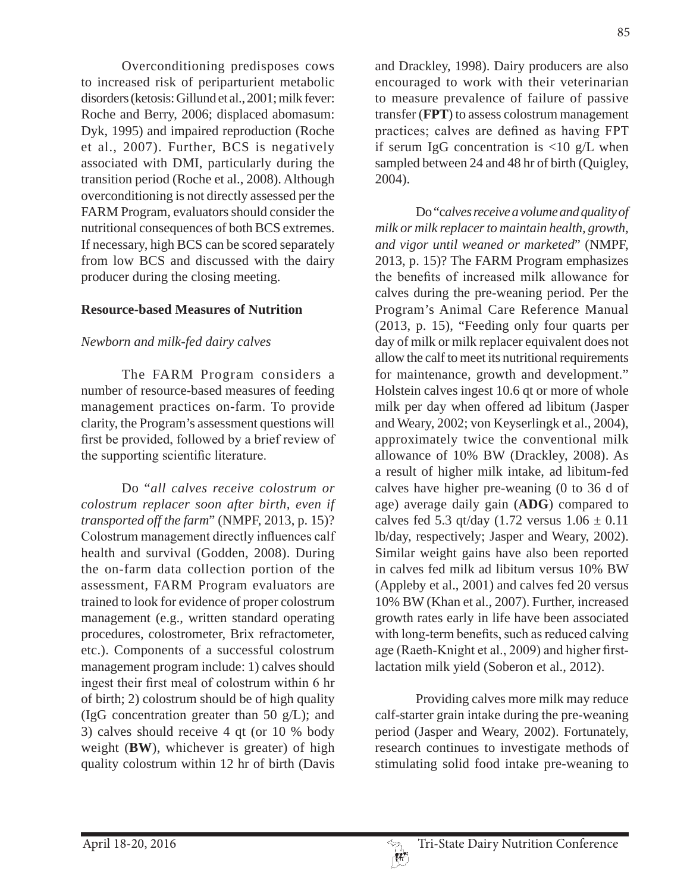Overconditioning predisposes cows to increased risk of periparturient metabolic disorders (ketosis: Gillund et al., 2001; milk fever: Roche and Berry, 2006; displaced abomasum: Dyk, 1995) and impaired reproduction (Roche et al., 2007). Further, BCS is negatively associated with DMI, particularly during the transition period (Roche et al., 2008). Although overconditioning is not directly assessed per the FARM Program, evaluators should consider the nutritional consequences of both BCS extremes. If necessary, high BCS can be scored separately from low BCS and discussed with the dairy producer during the closing meeting.

### **Resource-based Measures of Nutrition**

### *Newborn and milk-fed dairy calves*

The FARM Program considers a number of resource-based measures of feeding management practices on-farm. To provide clarity, the Program's assessment questions will first be provided, followed by a brief review of the supporting scientific literature.

Do "*all calves receive colostrum or colostrum replacer soon after birth, even if transported off the farm*" (NMPF, 2013, p. 15)? Colostrum management directly influences calf health and survival (Godden, 2008). During the on-farm data collection portion of the assessment, FARM Program evaluators are trained to look for evidence of proper colostrum management (e.g., written standard operating procedures, colostrometer, Brix refractometer, etc.). Components of a successful colostrum management program include: 1) calves should ingest their first meal of colostrum within 6 hr of birth; 2) colostrum should be of high quality (IgG concentration greater than 50  $g/L$ ); and 3) calves should receive 4 qt (or 10 % body weight (**BW**), whichever is greater) of high quality colostrum within 12 hr of birth (Davis

and Drackley, 1998). Dairy producers are also encouraged to work with their veterinarian to measure prevalence of failure of passive transfer (**FPT**) to assess colostrum management practices; calves are defined as having FPT if serum IgG concentration is  $\langle 10 \text{ g/L} \rangle$  when sampled between 24 and 48 hr of birth (Quigley, 2004).

Do "c*alves receive a volume and quality of milk or milk replacer to maintain health, growth, and vigor until weaned or marketed*" (NMPF, 2013, p. 15)? The FARM Program emphasizes the benefits of increased milk allowance for calves during the pre-weaning period. Per the Program's Animal Care Reference Manual (2013, p. 15), "Feeding only four quarts per day of milk or milk replacer equivalent does not allow the calf to meet its nutritional requirements for maintenance, growth and development." Holstein calves ingest 10.6 qt or more of whole milk per day when offered ad libitum (Jasper and Weary, 2002; von Keyserlingk et al., 2004), approximately twice the conventional milk allowance of 10% BW (Drackley, 2008). As a result of higher milk intake, ad libitum-fed calves have higher pre-weaning (0 to 36 d of age) average daily gain (**ADG**) compared to calves fed 5.3 qt/day (1.72 versus  $1.06 \pm 0.11$ ) lb/day, respectively; Jasper and Weary, 2002). Similar weight gains have also been reported in calves fed milk ad libitum versus 10% BW (Appleby et al., 2001) and calves fed 20 versus 10% BW (Khan et al., 2007). Further, increased growth rates early in life have been associated with long-term benefits, such as reduced calving age (Raeth-Knight et al., 2009) and higher firstlactation milk yield (Soberon et al., 2012).

Providing calves more milk may reduce calf-starter grain intake during the pre-weaning period (Jasper and Weary, 2002). Fortunately, research continues to investigate methods of stimulating solid food intake pre-weaning to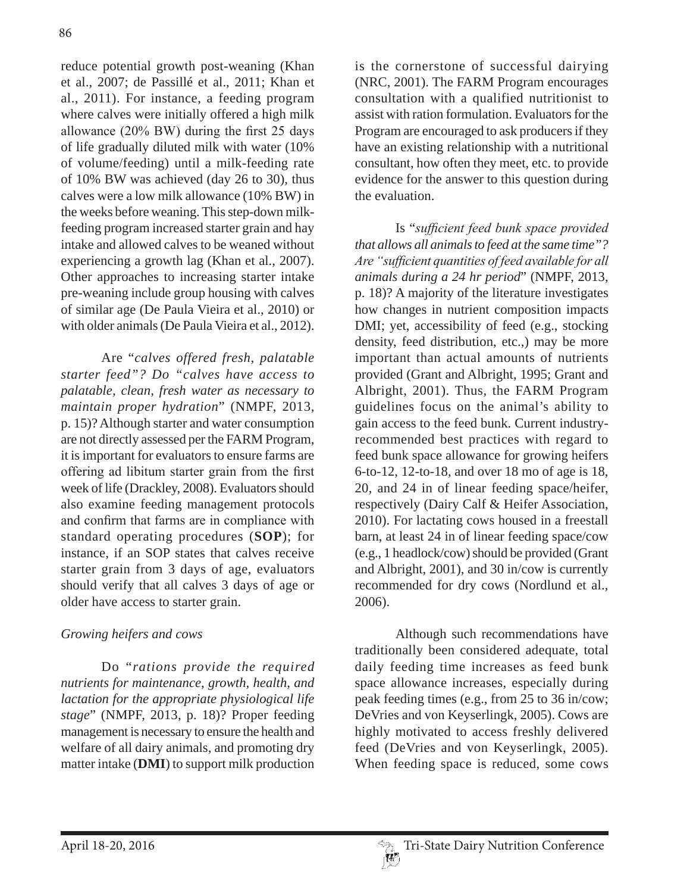reduce potential growth post-weaning (Khan et al., 2007; de Passillé et al., 2011; Khan et al., 2011). For instance, a feeding program where calves were initially offered a high milk allowance  $(20\% \text{ BW})$  during the first 25 days of life gradually diluted milk with water (10% of volume/feeding) until a milk-feeding rate of 10% BW was achieved (day 26 to 30), thus calves were a low milk allowance (10% BW) in the weeks before weaning. This step-down milkfeeding program increased starter grain and hay intake and allowed calves to be weaned without experiencing a growth lag (Khan et al., 2007). Other approaches to increasing starter intake pre-weaning include group housing with calves of similar age (De Paula Vieira et al., 2010) or with older animals (De Paula Vieira et al., 2012).

Are "*calves offered fresh, palatable starter feed"? Do "calves have access to palatable, clean, fresh water as necessary to maintain proper hydration*" (NMPF, 2013, p. 15)? Although starter and water consumption are not directly assessed per the FARM Program, it is important for evaluators to ensure farms are offering ad libitum starter grain from the first week of life (Drackley, 2008). Evaluators should also examine feeding management protocols and confirm that farms are in compliance with standard operating procedures (**SOP**); for instance, if an SOP states that calves receive starter grain from 3 days of age, evaluators should verify that all calves 3 days of age or older have access to starter grain.

# *Growing heifers and cows*

Do "*rations provide the required nutrients for maintenance, growth, health, and lactation for the appropriate physiological life stage*" (NMPF, 2013, p. 18)? Proper feeding management is necessary to ensure the health and welfare of all dairy animals, and promoting dry matter intake (**DMI**) to support milk production

is the cornerstone of successful dairying (NRC, 2001). The FARM Program encourages consultation with a qualified nutritionist to assist with ration formulation. Evaluators for the Program are encouraged to ask producers if they have an existing relationship with a nutritional consultant, how often they meet, etc. to provide evidence for the answer to this question during the evaluation.

Is "sufficient feed bunk space provided *that allows all animals to feed at the same time"?*  Are "sufficient quantities of feed available for all *animals during a 24 hr period*" (NMPF, 2013, p. 18)? A majority of the literature investigates how changes in nutrient composition impacts DMI; yet, accessibility of feed (e.g., stocking density, feed distribution, etc.,) may be more important than actual amounts of nutrients provided (Grant and Albright, 1995; Grant and Albright, 2001). Thus, the FARM Program guidelines focus on the animal's ability to gain access to the feed bunk. Current industryrecommended best practices with regard to feed bunk space allowance for growing heifers 6-to-12, 12-to-18, and over 18 mo of age is 18, 20, and 24 in of linear feeding space/heifer, respectively (Dairy Calf & Heifer Association, 2010). For lactating cows housed in a freestall barn, at least 24 in of linear feeding space/cow (e.g., 1 headlock/cow) should be provided (Grant and Albright, 2001), and 30 in/cow is currently recommended for dry cows (Nordlund et al., 2006).

Although such recommendations have traditionally been considered adequate, total daily feeding time increases as feed bunk space allowance increases, especially during peak feeding times (e.g., from 25 to 36 in/cow; DeVries and von Keyserlingk, 2005). Cows are highly motivated to access freshly delivered feed (DeVries and von Keyserlingk, 2005). When feeding space is reduced, some cows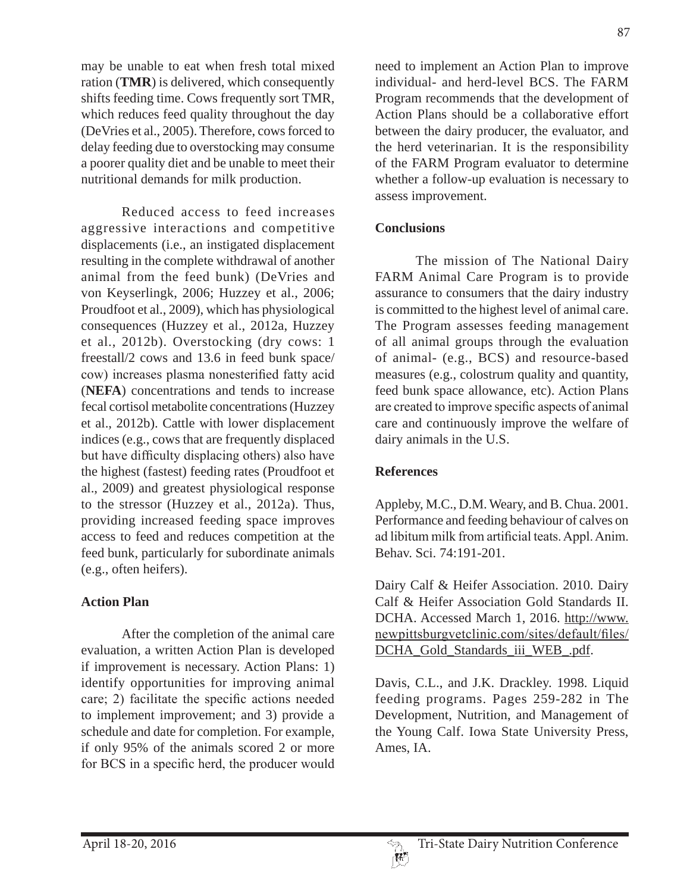may be unable to eat when fresh total mixed ration (**TMR**) is delivered, which consequently shifts feeding time. Cows frequently sort TMR, which reduces feed quality throughout the day (DeVries et al., 2005). Therefore, cows forced to delay feeding due to overstocking may consume a poorer quality diet and be unable to meet their nutritional demands for milk production.

Reduced access to feed increases aggressive interactions and competitive displacements (i.e., an instigated displacement resulting in the complete withdrawal of another animal from the feed bunk) (DeVries and von Keyserlingk, 2006; Huzzey et al., 2006; Proudfoot et al., 2009), which has physiological consequences (Huzzey et al., 2012a, Huzzey et al., 2012b). Overstocking (dry cows: 1 freestall/2 cows and 13.6 in feed bunk space/ cow) increases plasma nonesterified fatty acid (**NEFA**) concentrations and tends to increase fecal cortisol metabolite concentrations (Huzzey et al., 2012b). Cattle with lower displacement indices (e.g., cows that are frequently displaced but have difficulty displacing others) also have the highest (fastest) feeding rates (Proudfoot et al., 2009) and greatest physiological response to the stressor (Huzzey et al., 2012a). Thus, providing increased feeding space improves access to feed and reduces competition at the feed bunk, particularly for subordinate animals (e.g., often heifers).

# **Action Plan**

After the completion of the animal care evaluation, a written Action Plan is developed if improvement is necessary. Action Plans: 1) identify opportunities for improving animal care; 2) facilitate the specific actions needed to implement improvement; and 3) provide a schedule and date for completion. For example, if only 95% of the animals scored 2 or more for BCS in a specific herd, the producer would need to implement an Action Plan to improve individual- and herd-level BCS. The FARM Program recommends that the development of Action Plans should be a collaborative effort between the dairy producer, the evaluator, and the herd veterinarian. It is the responsibility of the FARM Program evaluator to determine whether a follow-up evaluation is necessary to assess improvement.

# **Conclusions**

The mission of The National Dairy FARM Animal Care Program is to provide assurance to consumers that the dairy industry is committed to the highest level of animal care. The Program assesses feeding management of all animal groups through the evaluation of animal- (e.g., BCS) and resource-based measures (e.g., colostrum quality and quantity, feed bunk space allowance, etc). Action Plans are created to improve specific aspects of animal care and continuously improve the welfare of dairy animals in the U.S.

# **References**

Appleby, M.C., D.M. Weary, and B. Chua. 2001. Performance and feeding behaviour of calves on ad libitum milk from artificial teats. Appl. Anim. Behav. Sci. 74:191-201.

Dairy Calf & Heifer Association. 2010. Dairy Calf & Heifer Association Gold Standards II. DCHA. Accessed March 1, 2016. http://www. newpittsburgvetclinic.com/sites/default/files/ DCHA\_Gold\_Standards\_iii\_WEB\_.pdf.

Davis, C.L., and J.K. Drackley. 1998. Liquid feeding programs. Pages 259-282 in The Development, Nutrition, and Management of the Young Calf. Iowa State University Press, Ames, IA.

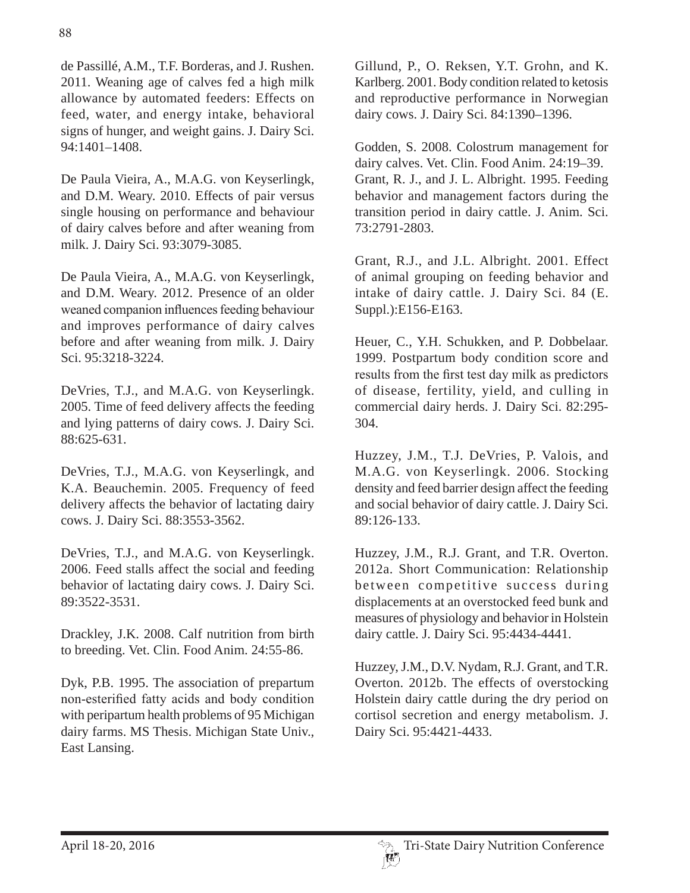de Passillé, A.M., T.F. Borderas, and J. Rushen. 2011. Weaning age of calves fed a high milk allowance by automated feeders: Effects on feed, water, and energy intake, behavioral signs of hunger, and weight gains. J. Dairy Sci. 94:1401–1408.

De Paula Vieira, A., M.A.G. von Keyserlingk, and D.M. Weary. 2010. Effects of pair versus single housing on performance and behaviour of dairy calves before and after weaning from milk. J. Dairy Sci. 93:3079-3085.

De Paula Vieira, A., M.A.G. von Keyserlingk, and D.M. Weary. 2012. Presence of an older weaned companion influences feeding behaviour and improves performance of dairy calves before and after weaning from milk. J. Dairy Sci. 95:3218-3224.

DeVries, T.J., and M.A.G. von Keyserlingk. 2005. Time of feed delivery affects the feeding and lying patterns of dairy cows. J. Dairy Sci. 88:625-631.

DeVries, T.J., M.A.G. von Keyserlingk, and K.A. Beauchemin. 2005. Frequency of feed delivery affects the behavior of lactating dairy cows. J. Dairy Sci. 88:3553-3562.

DeVries, T.J., and M.A.G. von Keyserlingk. 2006. Feed stalls affect the social and feeding behavior of lactating dairy cows. J. Dairy Sci. 89:3522-3531.

Drackley, J.K. 2008. Calf nutrition from birth to breeding. Vet. Clin. Food Anim. 24:55-86.

Dyk, P.B. 1995. The association of prepartum non-esterified fatty acids and body condition with peripartum health problems of 95 Michigan dairy farms. MS Thesis. Michigan State Univ., East Lansing.

Gillund, P., O. Reksen, Y.T. Grohn, and K. Karlberg. 2001. Body condition related to ketosis and reproductive performance in Norwegian dairy cows. J. Dairy Sci. 84:1390–1396.

Godden, S. 2008. Colostrum management for dairy calves. Vet. Clin. Food Anim. 24:19–39. Grant, R. J., and J. L. Albright. 1995. Feeding behavior and management factors during the transition period in dairy cattle. J. Anim. Sci. 73:2791-2803.

Grant, R.J., and J.L. Albright. 2001. Effect of animal grouping on feeding behavior and intake of dairy cattle. J. Dairy Sci. 84 (E. Suppl.):E156-E163.

Heuer, C., Y.H. Schukken, and P. Dobbelaar. 1999. Postpartum body condition score and results from the first test day milk as predictors of disease, fertility, yield, and culling in commercial dairy herds. J. Dairy Sci. 82:295- 304.

Huzzey, J.M., T.J. DeVries, P. Valois, and M.A.G. von Keyserlingk. 2006. Stocking density and feed barrier design affect the feeding and social behavior of dairy cattle. J. Dairy Sci. 89:126-133.

Huzzey, J.M., R.J. Grant, and T.R. Overton. 2012a. Short Communication: Relationship between competitive success during displacements at an overstocked feed bunk and measures of physiology and behavior in Holstein dairy cattle. J. Dairy Sci. 95:4434-4441.

Huzzey, J.M., D.V. Nydam, R.J. Grant, and T.R. Overton. 2012b. The effects of overstocking Holstein dairy cattle during the dry period on cortisol secretion and energy metabolism. J. Dairy Sci. 95:4421-4433.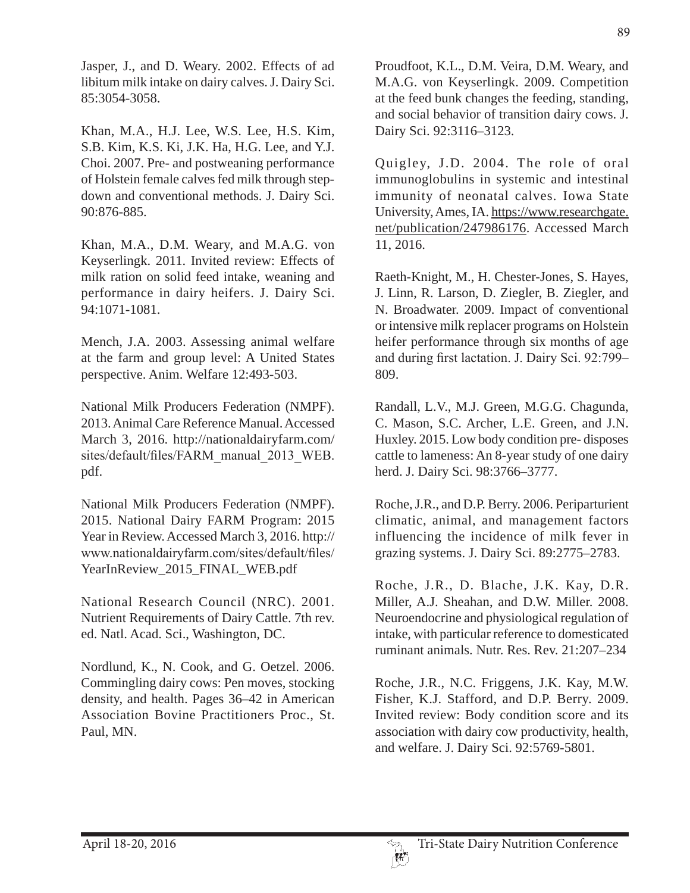Jasper, J., and D. Weary. 2002. Effects of ad libitum milk intake on dairy calves. J. Dairy Sci. 85:3054-3058.

Khan, M.A., H.J. Lee, W.S. Lee, H.S. Kim, S.B. Kim, K.S. Ki, J.K. Ha, H.G. Lee, and Y.J. Choi. 2007. Pre- and postweaning performance of Holstein female calves fed milk through stepdown and conventional methods. J. Dairy Sci. 90:876-885.

Khan, M.A., D.M. Weary, and M.A.G. von Keyserlingk. 2011. Invited review: Effects of milk ration on solid feed intake, weaning and performance in dairy heifers. J. Dairy Sci. 94:1071-1081.

Mench, J.A. 2003. Assessing animal welfare at the farm and group level: A United States perspective. Anim. Welfare 12:493-503.

National Milk Producers Federation (NMPF). 2013. Animal Care Reference Manual. Accessed March 3, 2016. http://nationaldairyfarm.com/ sites/default/files/FARM manual\_2013\_WEB. pdf.

National Milk Producers Federation (NMPF). 2015. National Dairy FARM Program: 2015 Year in Review. Accessed March 3, 2016. http:// www.nationaldairyfarm.com/sites/default/files/ YearInReview\_2015\_FINAL\_WEB.pdf

National Research Council (NRC). 2001. Nutrient Requirements of Dairy Cattle. 7th rev. ed. Natl. Acad. Sci., Washington, DC.

Nordlund, K., N. Cook, and G. Oetzel. 2006. Commingling dairy cows: Pen moves, stocking density, and health. Pages 36–42 in American Association Bovine Practitioners Proc., St. Paul, MN.

Proudfoot, K.L., D.M. Veira, D.M. Weary, and M.A.G. von Keyserlingk. 2009. Competition at the feed bunk changes the feeding, standing, and social behavior of transition dairy cows. J. Dairy Sci. 92:3116–3123.

Quigley, J.D. 2004. The role of oral immunoglobulins in systemic and intestinal immunity of neonatal calves. Iowa State University, Ames, IA. https://www.researchgate. net/publication/247986176. Accessed March 11, 2016.

Raeth-Knight, M., H. Chester-Jones, S. Hayes, J. Linn, R. Larson, D. Ziegler, B. Ziegler, and N. Broadwater. 2009. Impact of conventional or intensive milk replacer programs on Holstein heifer performance through six months of age and during first lactation. J. Dairy Sci. 92:799-809.

Randall, L.V., M.J. Green, M.G.G. Chagunda, C. Mason, S.C. Archer, L.E. Green, and J.N. Huxley. 2015. Low body condition pre- disposes cattle to lameness: An 8-year study of one dairy herd. J. Dairy Sci. 98:3766–3777.

Roche, J.R., and D.P. Berry. 2006. Periparturient climatic, animal, and management factors influencing the incidence of milk fever in grazing systems. J. Dairy Sci. 89:2775–2783.

Roche, J.R., D. Blache, J.K. Kay, D.R. Miller, A.J. Sheahan, and D.W. Miller. 2008. Neuroendocrine and physiological regulation of intake, with particular reference to domesticated ruminant animals. Nutr. Res. Rev. 21:207–234

Roche, J.R., N.C. Friggens, J.K. Kay, M.W. Fisher, K.J. Stafford, and D.P. Berry. 2009. Invited review: Body condition score and its association with dairy cow productivity, health, and welfare. J. Dairy Sci. 92:5769-5801.